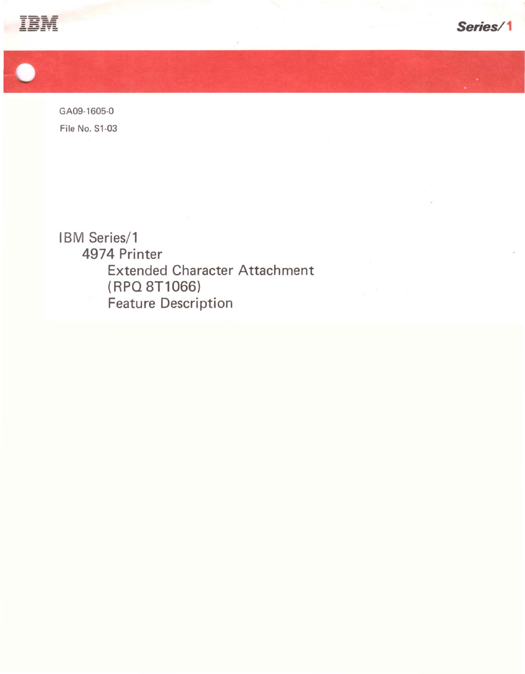

GA09-1605-0 File No. S1-03

**IBM Series/1 4974 Printer Extended Character Attachment (RPQ 8T1 066) Feature Description** 

~ . .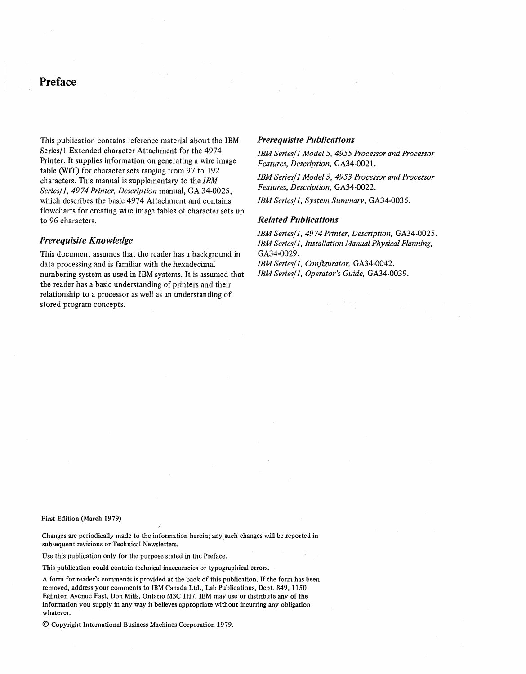# **Preface**

This publication contains reference material about the IBM Series/1 Extended character Attachment for the 4974 Printer. It supplies information on generating a wire image table (WIT) for character sets ranging from 97 to 192 characters. This manual is supplementary to the *IBM Series/ i,* 4974 *Printer, Description* manual, GA 34-0025, which describes the basic 4974 Attachment and contains flowcharts for creating wire image tables of character sets up to 96 characters.

## *Prerequisite Knowledge*

This document assumes that the reader has a background in data processing and is familiar with the hexadecimal numbering system as used in IBM systems. It is assumed that the reader has a basic understanding of printers and their relationship to a processor as well as an understanding of stored program concepts.

#### *Prerequisite Publications*

*IBM Series/ i Model* 5, 4955 *Processor and Processor Features, Description,* GA34-0021.

*IBM Series/ i Model* 3, 4953 *Processor and Processor Features, Description,* GA34-0022.

*IBM Series/i, System Summary,* GA34-0035.

#### *Related Publications*

*IBM Series/i,* 4974 *Printer, Description,* GA34-0025. *IBM Series/ i, Installation Manual-Physical Planning,*  GA34-0029.

*IBM Series/ i, Configurator,* GA34-0042. *IBM Series/ i, Operator's Guide,* GA34-0039.

#### First Edition (March 1979)

Changes are periodically made to the information herein; anysuch changes will be reported in subsequent revisions or Technical Newsletters.

Use this publication only for the purpose stated in the Preface.

This publication could contain technical inaccuracies or typographical errors.

A form for reader's comments is provided at the back df this publication. If the form has been removed, address your comments to IBM Canada Ltd., Lab Publications, Dept. 849, 1150 Eglinton Avenue East, Don Mills, Ontario M3C IH7. IBM may use or distribute any of the information you supply in any way it believes appropriate without incurring any obligation whatever.

© Copyright International Business Machines Corporation 1979.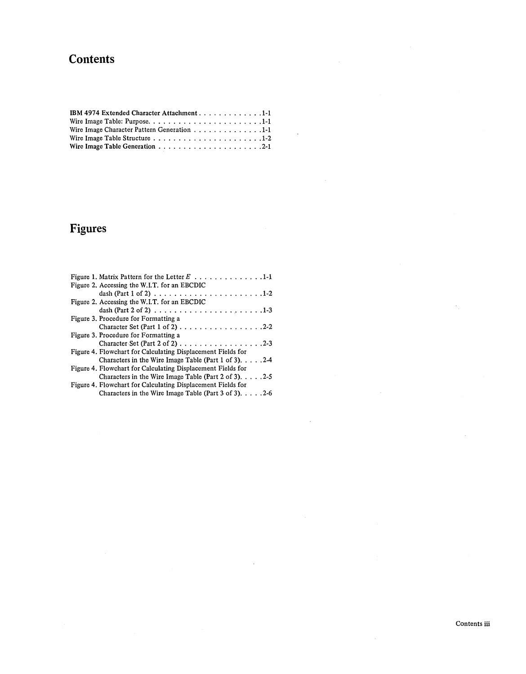# **Contents**

| IBM 4974 Extended Character Attachment 1-1                                                               |  |
|----------------------------------------------------------------------------------------------------------|--|
| Wire Image Table: Purpose1-1                                                                             |  |
| Wire Image Character Pattern Generation $\dots \dots \dots \dots \dots \dots$                            |  |
| Wire Image Table Structure $\dots \dots \dots \dots \dots \dots \dots \dots \dots \dots \dots \dots 1-2$ |  |
|                                                                                                          |  |

# **Figures**

| Figure 1. Matrix Pattern for the Letter $E$ 1-1<br>Figure 2. Accessing the W.I.T. for an EBCDIC                                 |
|---------------------------------------------------------------------------------------------------------------------------------|
| Figure 2. Accessing the W.I.T. for an EBCDIC                                                                                    |
|                                                                                                                                 |
| Figure 3. Procedure for Formatting a                                                                                            |
| Figure 3. Procedure for Formatting a                                                                                            |
| Figure 4. Flowchart for Calculating Displacement Fields for                                                                     |
| Characters in the Wire Image Table (Part 1 of 3) 2-4<br>Figure 4. Flowchart for Calculating Displacement Fields for             |
| Characters in the Wire Image Table (Part 2 of 3). $\ldots$ . 2-5                                                                |
| Figure 4. Flowchart for Calculating Displacement Fields for<br>Characters in the Wire Image Table (Part 3 of 3). $\ldots$ . 2-6 |

 $\ddot{\phantom{0}}$ 

 $\bar{z}$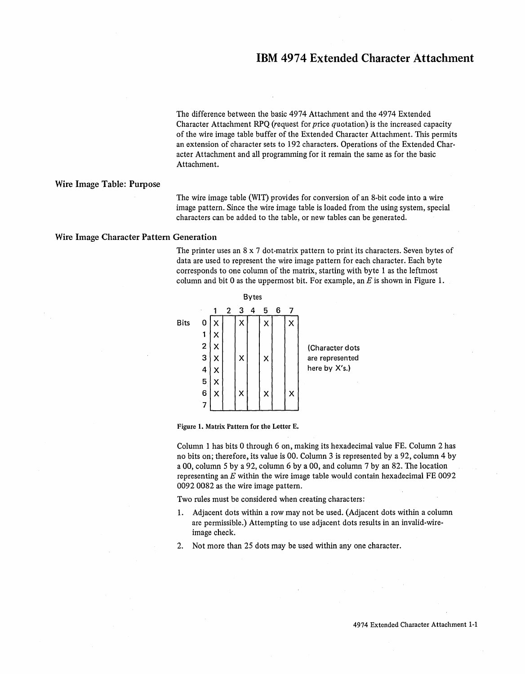# **IBM 4974 Extended Character Attachment**

The difference between the basic 4974 Attachment and the 4974 Extended Character Attachment RPQ (request for price quotation) is the increased capacity of the wire image table buffer of the Extended Character Attachment. This permits an extension of character sets to 192 characters. Operations of the Extended Character Attachment and all programming for it remain the same as for the basic Attachment.

## Wire Image Table: Purpose

The wire image table (WIT) provides for conversion of an 8-bit code into a wire image pattern. Since the wire image table is loaded from the using system, special characters can be added to the table, or new tables can be generated.

#### Wire Image Character Pattern Generation

The printer uses an 8 x 7 dot-matrix pattern to print its characters. Seven bytes of data are used to represent the wire image pattern for each character. Each byte corresponds to one column of the matrix, starting with byte 1 as the leftmost column and bit 0 as the uppermost bit. For example, an  $E$  is shown in Figure 1.



Figure 1. Matrix Pattern for the Letter E.

Column 1 has bits 0 through 6 on, making its hexadecimal value FE. Column 2 has no bits on; therefore, its value is 00. Column 3 is represented by a 92, column 4 by a 00, column 5 by a 92, column 6 by a 00, and column 7 by an 82. The location representing an  $E$  within the wire image table would contain hexadecimal FE 0092 0092 0082 as the wire image pattern.

Two rules must be considered when creating characters:

- 1. Adjacent dots within a row may not be used. (Adjacent dots within a column are permissible.) Attempting to use adjacent dots results in an invalid-wireimage check.
- 2. Not more than 25 dots may be used within anyone character.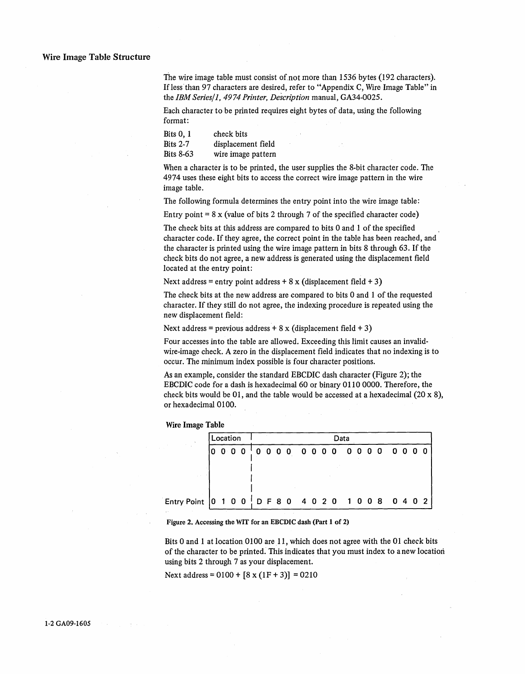### Wire Image Table Structure

The wire image table must consist of not more than  $1536$  bytes (192 characters). If less than 97 characters are desired, refer to "Appendix C, Wire Image Table" in the *IBM Series/i,* 4974 *Printer, Description* manual, GA34-0025.

Each character to be printed requires eight bytes of data, using the following format:

| Bits $0, 1$      | check bits         |
|------------------|--------------------|
| Bits $2-7$       | displacement field |
| <b>Bits 8-63</b> | wire image pattern |

When a character is to be printed, the user supplies the 8-bit character code. The 4974 uses these eight bits to access the correct wire image pattern in the wire image table.

The following formula determines the entry point into the wire image table:

Entry point  $= 8x$  (value of bits 2 through 7 of the specified character code)

The check bits at this address are compared to bits 0 and 1 of the specified character code. If they agree, the correct point in the table has been reached, and the character is printed using the wire image pattern in bits 8 through 63. If the check bits do not agree, a new address is generated using the displacement field located at the entry point:

Next address = entry point address +  $8 \times$  (displacement field + 3)

The check bits at the new address are compared to bits 0 and 1 of the requested character. If they still do not agree, the indexing procedure is repeated using the new displacement field:

Next address = previous address +  $8 \times$  (displacement field + 3)

Four accesses into the table are allowed. Exceeding this limit causes an invalidwire-image check. A zero in the displacement field indicates that no indexing is to occur. The minimum index possible is four character positions.

As an example, consider the standard EBCDIC dash character (Figure 2); the EBCDIC code for a dash is hexadecimal 60 or binary 0110 0000. Therefore, the check bits would be 01, and the table would be accessed at a hexadecimal  $(20 \times 8)$ , or hexadecimal 0100.

Wire Image Table

|                                                                                           |  | Location | Data |  |  |  |                       |  |  |  |  |  |  |  |  |  |  |
|-------------------------------------------------------------------------------------------|--|----------|------|--|--|--|-----------------------|--|--|--|--|--|--|--|--|--|--|
|                                                                                           |  |          |      |  |  |  | 0000 0000000000000000 |  |  |  |  |  |  |  |  |  |  |
|                                                                                           |  |          |      |  |  |  |                       |  |  |  |  |  |  |  |  |  |  |
|                                                                                           |  |          |      |  |  |  |                       |  |  |  |  |  |  |  |  |  |  |
|                                                                                           |  |          |      |  |  |  |                       |  |  |  |  |  |  |  |  |  |  |
| Entry Point $\begin{bmatrix} 0 & 1 & 0 & 0 \end{bmatrix}$ D F 8 0 4 0 2 0 1 0 0 8 0 4 0 2 |  |          |      |  |  |  |                       |  |  |  |  |  |  |  |  |  |  |

Figure 2. Accessing the WIT for an EBCDIC dash (Part 1 of 2)

Bits 0 and 1 at location 0100 are 11, which does not agree with the 01 check bits of the character to be printed. This indicates that you must index to a new location using bits 2 through 7 as your displacement.

Next address =  $0100 + [8 \times (1F + 3)] = 0210$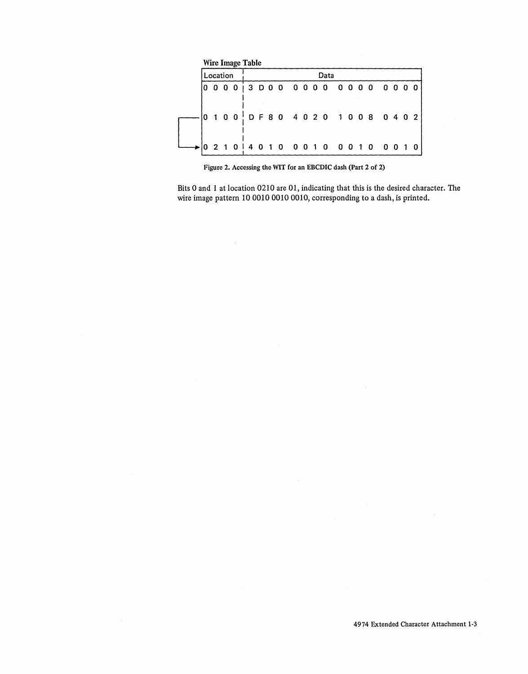|  |          |  | Wire Image Table |  |  |  |      |                                 |  |                              |    |  |
|--|----------|--|------------------|--|--|--|------|---------------------------------|--|------------------------------|----|--|
|  | Location |  |                  |  |  |  | Data |                                 |  |                              |    |  |
|  |          |  |                  |  |  |  |      |                                 |  | $0.0.013$ DOO 0000 0000 0000 |    |  |
|  |          |  |                  |  |  |  |      |                                 |  |                              |    |  |
|  |          |  |                  |  |  |  |      |                                 |  | $100$ DF80 4020 1008 0402    |    |  |
|  |          |  |                  |  |  |  |      | 2 1 0 1 4 0 1 0 0 0 1 0 0 0 1 0 |  | 00                           | 10 |  |

Figure 2. Accessing the WIT for an EBCDIC dash (Part 2 of 2)

Bits 0 and 1 at location 0210 are 01, indicating that this is the desired character. The wire image pattern 10 0010 0010 0010, corresponding to a dash, is printed.

 $\hat{\boldsymbol{\gamma}}$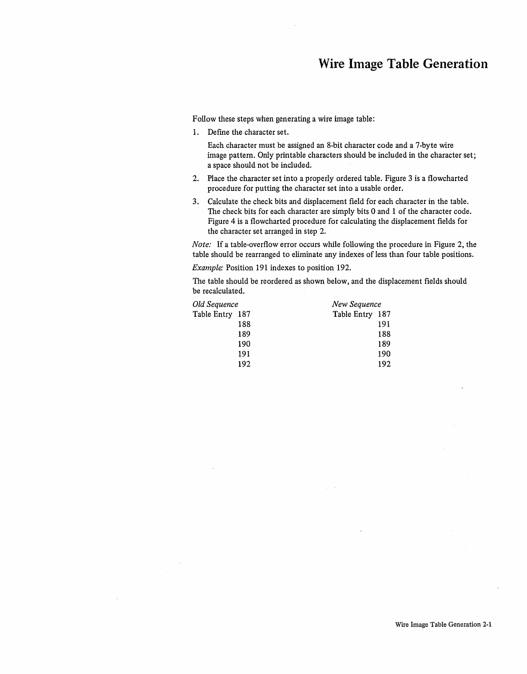# **Wire Image Table Generation**

Follow these steps when generating a wire image table:

1. Define the character set.

Each character must be assigned an 8-bit character code and a 7-byte wire image pattern. Only printable characters should be included in the character set; a space should not be included.

- 2. Place the character set into a properly ordered table. Figure 3 is a flowcharted procedure for putting the character set into a usable order.
- 3. Calculate the check bits and displacement field for each character in the table. The check bits for each character are simply bits 0 and 1 of the character code. Figure 4 is a flowcharted procedure for calculating the displacement fields for the character set arranged in step 2.

*Note:* If a table-overflow error occurs while following the procedure in Figure 2, the table should be rearranged to eliminate any indexes of less than four table positions.

*Example:* Position 191 indexes to position 192.

The table should be reordered as shown below, and the displacement fields should be recalculated.

| Old Sequence    | New Sequence    |
|-----------------|-----------------|
| Table Entry 187 | Table Entry 187 |
| 188             | 191             |
| 189             | 188             |
| 190             | 189             |
| 191             | 190             |
| 192             | 192             |
|                 |                 |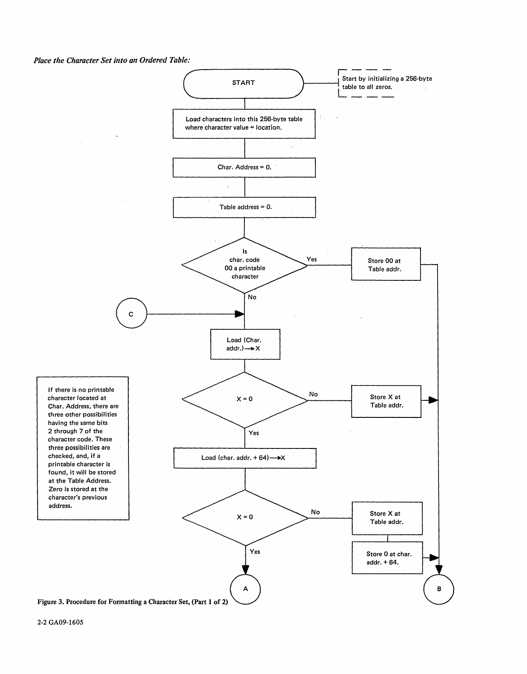## *Place the Character Set into an Ordered Table:*



2-2 GA09-1605

 $\mathcal{L}^{\mathcal{L}}(\mathcal{L}^{\mathcal{L}})$  ,  $\mathcal{L}^{\mathcal{L}}(\mathcal{L}^{\mathcal{L}})$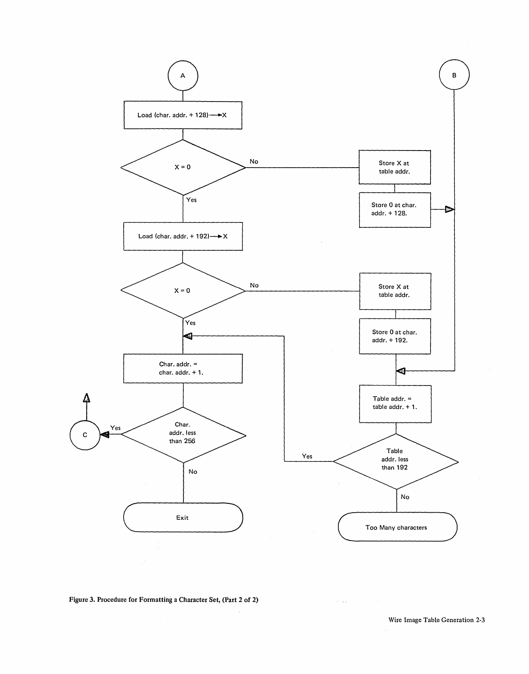

## Figure 3. Procedure for Formatting a Character Set, (Part 2 of 2)

Wire Image Table Generation 2-3

 $\sim 100$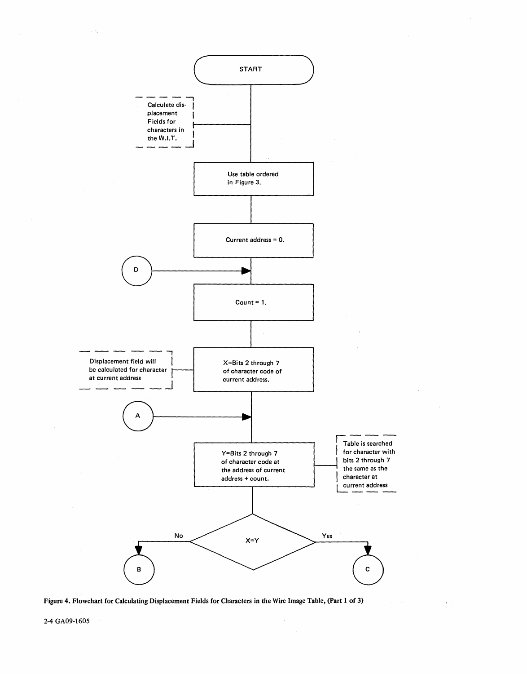



2-4 GA09-1605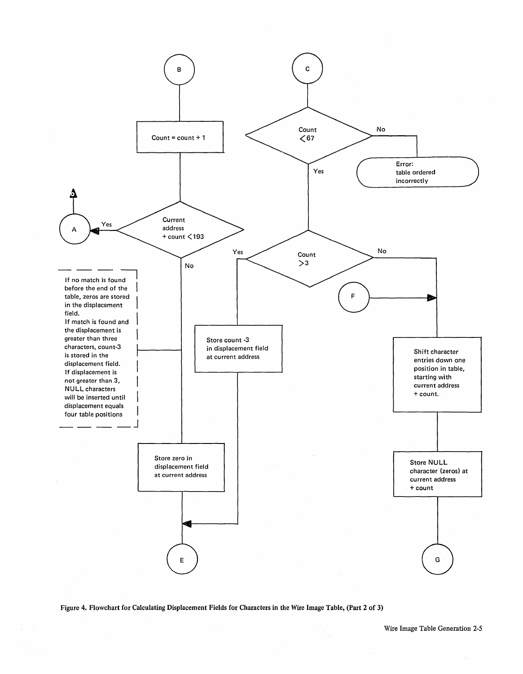

Figure 4. Flowchart for Calculating Displacement Fields for Characters in the Wire Image Table, (Part 2 of 3)

 $\hat{\sigma}_{\rm{obs}}$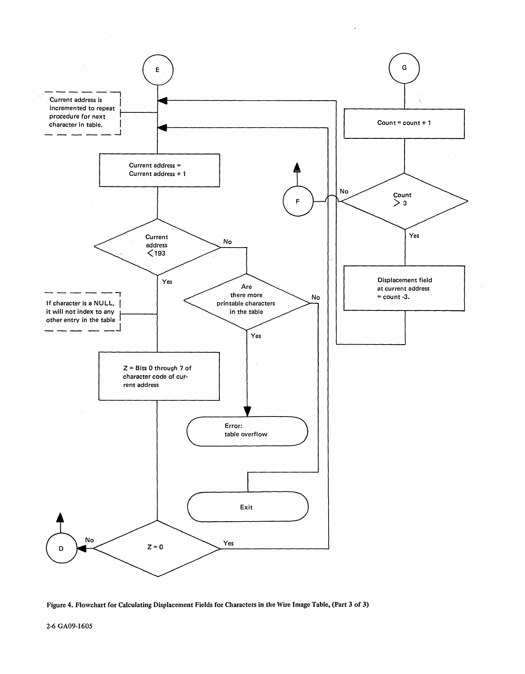

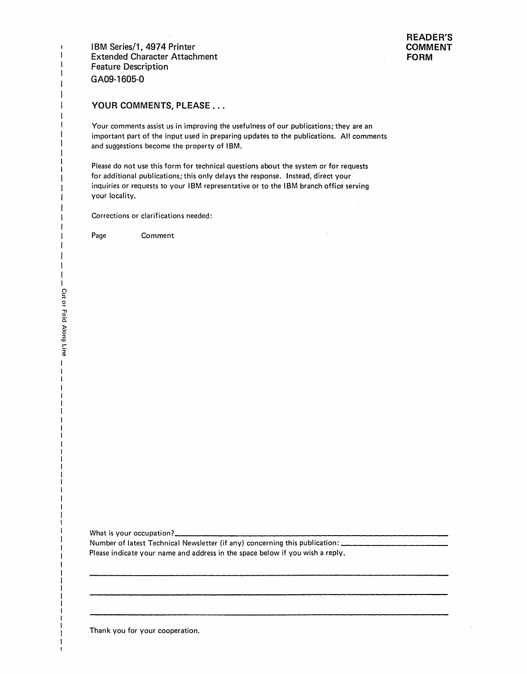IBM Series/l, 4974 Printer Extended Character Attachment Feature Description GA09-1605-0

READER'S COMMENT FORM

# YOUR COMMENTS, PLEASE . . .

Your comments assist us in improving the usefulness of our publications; they are an important part of the input used in preparing updates to the publications. All comments and suggestions become the property of IBM.

Please do not use this form for technical questions about the system or for requests for additional publications; this only delays the response. Instead, direct your inquiries or requests to your IBM representative or to the IBM branch office serving your locality.

Corrections or clarifications needed:

Page Comment

o -.

 $\mathbf{I}$ 

 $\blacksquare$ 

-l ł.  $\mathbf{I}$ 

What is your occupation? $\qquad \qquad$ 

Number of latest Technical Newsletter (if any) concerning this publication: \_\_\_\_\_\_\_\_\_\_\_\_\_\_\_\_\_\_ \_ Please indicate your name and address in the space below if you wish a reply.

Thank you for your cooperation.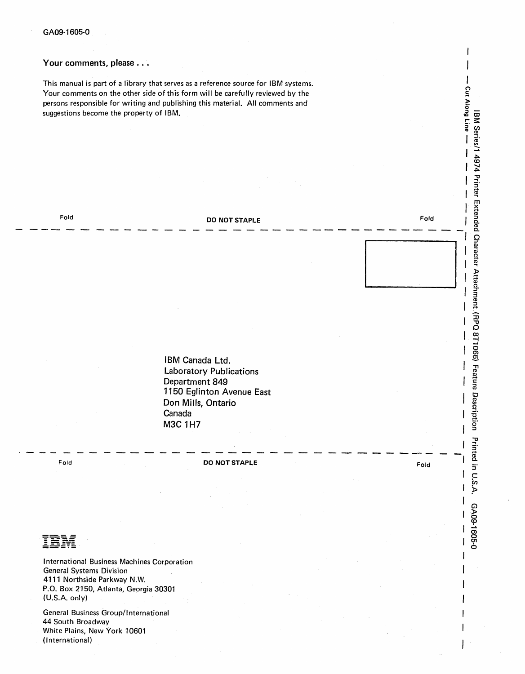## Your comments, please . . .

This manual is part of a library that serves as a reference source for IBM systems. Your comments on the other side of this form will be carefully reviewed by the persons responsible for writing and publishing this material. All comments and suggestions become the property of IBM.



# **---** ----**- ---- - ----** - **- ---** ----- - -**- --- -----**

International Business Machines Corporation General Systems Division 4111 Northside Parkway N.W. P.O. Box 2150, Atlanta, Georgia 30301 (U.S.A. only)

General Business Group/International 44 South Broadway White Plains, New York 10601 (International)

RPQ 8T106 <u>ප</u> Feature Description Printed 5' c en ~ GA09-1605-0

Cut Along Line -

 $\omega$ 

M Series/1 4974

Printer Extended Character Attachment

Fold